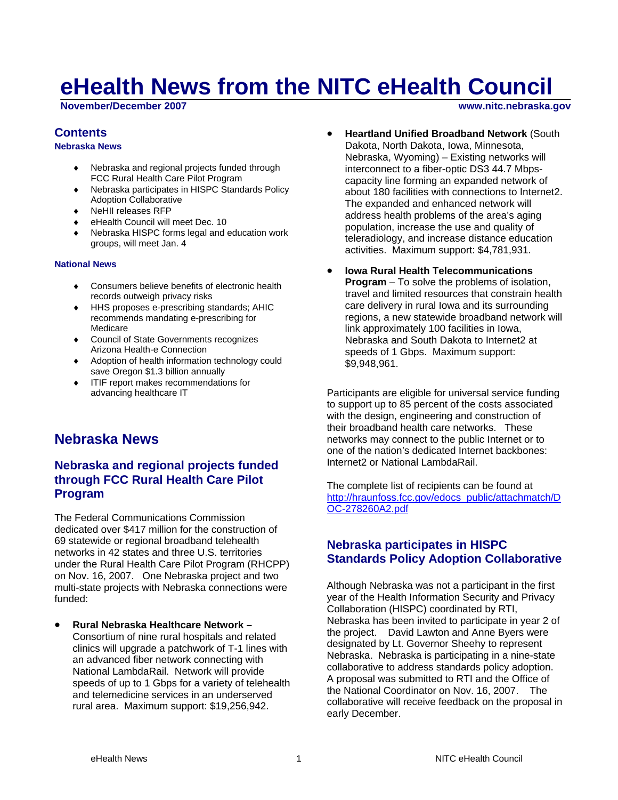# **eHealth News from the NITC eHealth Council**

**November/December 2007 www.nitc.nebraska.gov** 

## **Contents**

#### **Nebraska News**

- Nebraska and regional projects funded through FCC Rural Health Care Pilot Program
- Nebraska participates in HISPC Standards Policy Adoption Collaborative
- ♦ NeHII releases RFP
- eHealth Council will meet Dec. 10
- Nebraska HISPC forms legal and education work groups, will meet Jan. 4

#### **National News**

- Consumers believe benefits of electronic health records outweigh privacy risks
- ♦ HHS proposes e-prescribing standards; AHIC recommends mandating e-prescribing for Medicare
- ♦ Council of State Governments recognizes Arizona Health-e Connection
- ♦ Adoption of health information technology could save Oregon \$1.3 billion annually
- ♦ ITIF report makes recommendations for advancing healthcare IT

## **Nebraska News**

## **Nebraska and regional projects funded through FCC Rural Health Care Pilot Program**

The Federal Communications Commission dedicated over \$417 million for the construction of 69 statewide or regional broadband telehealth networks in 42 states and three U.S. territories under the Rural Health Care Pilot Program (RHCPP) on Nov. 16, 2007. One Nebraska project and two multi-state projects with Nebraska connections were funded:

• **Rural Nebraska Healthcare Network –**  Consortium of nine rural hospitals and related clinics will upgrade a patchwork of T-1 lines with an advanced fiber network connecting with National LambdaRail. Network will provide speeds of up to 1 Gbps for a variety of telehealth and telemedicine services in an underserved rural area. Maximum support: \$19,256,942.

- **Heartland Unified Broadband Network** (South Dakota, North Dakota, Iowa, Minnesota, Nebraska, Wyoming) – Existing networks will interconnect to a fiber-optic DS3 44.7 Mbpscapacity line forming an expanded network of about 180 facilities with connections to Internet2. The expanded and enhanced network will address health problems of the area's aging population, increase the use and quality of teleradiology, and increase distance education activities. Maximum support: \$4,781,931.
- **Iowa Rural Health Telecommunications Program** – To solve the problems of isolation, travel and limited resources that constrain health care delivery in rural Iowa and its surrounding regions, a new statewide broadband network will link approximately 100 facilities in Iowa, Nebraska and South Dakota to Internet2 at speeds of 1 Gbps. Maximum support: \$9,948,961.

Participants are eligible for universal service funding to support up to 85 percent of the costs associated with the design, engineering and construction of their broadband health care networks. These networks may connect to the public Internet or to one of the nation's dedicated Internet backbones: Internet2 or National LambdaRail.

The complete list of recipients can be found at [http://hraunfoss.fcc.gov/edocs\\_public/attachmatch/D](http://hraunfoss.fcc.gov/edocs_public/attachmatch/DOC-278260A2.pdf) [OC-278260A2.pdf](http://hraunfoss.fcc.gov/edocs_public/attachmatch/DOC-278260A2.pdf)

## **Nebraska participates in HISPC Standards Policy Adoption Collaborative**

Although Nebraska was not a participant in the first year of the Health Information Security and Privacy Collaboration (HISPC) coordinated by RTI, Nebraska has been invited to participate in year 2 of the project. David Lawton and Anne Byers were designated by Lt. Governor Sheehy to represent Nebraska. Nebraska is participating in a nine-state collaborative to address standards policy adoption. A proposal was submitted to RTI and the Office of the National Coordinator on Nov. 16, 2007. The collaborative will receive feedback on the proposal in early December.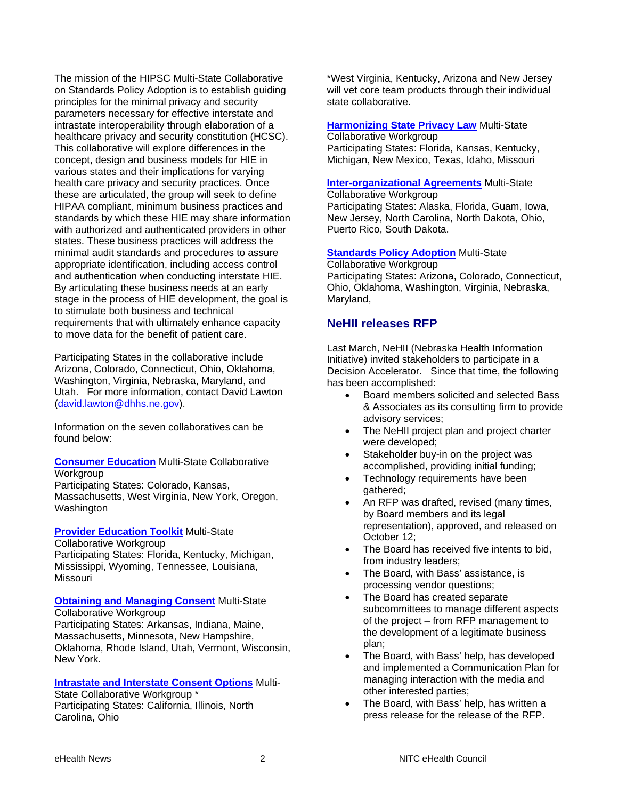The mission of the HIPSC Multi-State Collaborative on Standards Policy Adoption is to establish guiding principles for the minimal privacy and security parameters necessary for effective interstate and intrastate interoperability through elaboration of a healthcare privacy and security constitution (HCSC). This collaborative will explore differences in the concept, design and business models for HIE in various states and their implications for varying health care privacy and security practices. Once these are articulated, the group will seek to define HIPAA compliant, minimum business practices and standards by which these HIE may share information with authorized and authenticated providers in other states. These business practices will address the minimal audit standards and procedures to assure appropriate identification, including access control and authentication when conducting interstate HIE. By articulating these business needs at an early stage in the process of HIE development, the goal is to stimulate both business and technical requirements that with ultimately enhance capacity to move data for the benefit of patient care.

Participating States in the collaborative include Arizona, Colorado, Connecticut, Ohio, Oklahoma, Washington, Virginia, Nebraska, Maryland, and Utah. For more information, contact David Lawton [\(david.lawton@dhhs.ne.gov\)](mailto:david.lawton@dhhs.ne.gov).

Information on the seven collaboratives can be found below:

**[Consumer Education](https://privacysecurity.rti.org/Portals/0/Consumer%20Education%20Brief.pdf)** Multi-State Collaborative **Workgroup** 

Participating States: Colorado, Kansas, Massachusetts, West Virginia, New York, Oregon, Washington

#### **[Provider Education Toolkit](https://privacysecurity.rti.org/Portals/0/Provider%20Education%20Brief.pdf)** Multi-State

Collaborative Workgroup

Participating States: Florida, Kentucky, Michigan, Mississippi, Wyoming, Tennessee, Louisiana, Missouri

#### **[Obtaining and Managing Consent](https://privacysecurity.rti.org/Portals/0/Obtaining%20and%20Managing%20Consent%20Brief.pdf) Multi-State** Collaborative Workgroup

Participating States: Arkansas, Indiana, Maine, Massachusetts, Minnesota, New Hampshire, Oklahoma, Rhode Island, Utah, Vermont, Wisconsin, New York.

## **[Intrastate and Interstate Consent Options](https://privacysecurity.rti.org/Portals/0/Consent%20Options%20Brief.pdf)** Multi-

State Collaborative Workgroup \* Participating States: California, Illinois, North Carolina, Ohio

\*West Virginia, Kentucky, Arizona and New Jersey will vet core team products through their individual state collaborative.

#### **[Harmonizing State Privacy Law](https://privacysecurity.rti.org/Portals/0/Harmonizing%20State%20Privacy%20Law%20Brief.pdf)** Multi-State Collaborative Workgroup Participating States: Florida, Kansas, Kentucky, Michigan, New Mexico, Texas, Idaho, Missouri

# **[Inter-organizational Agreements](https://privacysecurity.rti.org/Portals/0/Inter-organizational%20Agreements%20Brief.pdf)** Multi-State

Collaborative Workgroup Participating States: Alaska, Florida, Guam, Iowa, New Jersey, North Carolina, North Dakota, Ohio, Puerto Rico, South Dakota.

#### **[Standards Policy Adoption](https://privacysecurity.rti.org/Portals/0/Standards%20Adoption%20Brief.pdf) Multi-State**

Collaborative Workgroup Participating States: Arizona, Colorado, Connecticut, Ohio, Oklahoma, Washington, Virginia, Nebraska, Maryland,

## **NeHII releases RFP**

Last March, NeHII (Nebraska Health Information Initiative) invited stakeholders to participate in a Decision Accelerator. Since that time, the following has been accomplished:

- Board members solicited and selected Bass & Associates as its consulting firm to provide advisory services;
- The NeHII project plan and project charter were developed;
- Stakeholder buy-in on the project was accomplished, providing initial funding;
- Technology requirements have been gathered;
- An RFP was drafted, revised (many times, by Board members and its legal representation), approved, and released on October 12;
- The Board has received five intents to bid, from industry leaders;
- The Board, with Bass' assistance, is processing vendor questions;
- The Board has created separate subcommittees to manage different aspects of the project – from RFP management to the development of a legitimate business plan;
- The Board, with Bass' help, has developed and implemented a Communication Plan for managing interaction with the media and other interested parties;
- The Board, with Bass' help, has written a press release for the release of the RFP.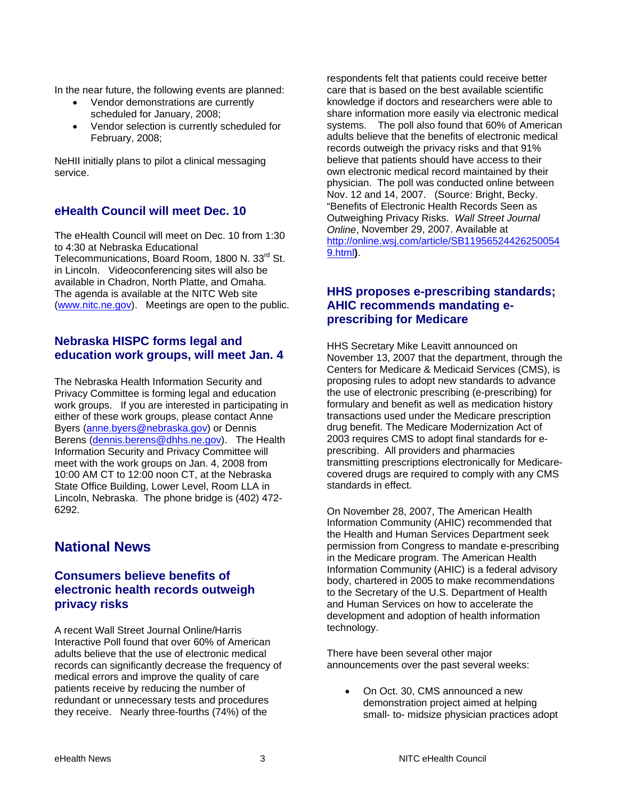In the near future, the following events are planned:

- Vendor demonstrations are currently scheduled for January, 2008;
- Vendor selection is currently scheduled for February, 2008;

NeHII initially plans to pilot a clinical messaging service.

## **eHealth Council will meet Dec. 10**

The eHealth Council will meet on Dec. 10 from 1:30 to 4:30 at Nebraska Educational Telecommunications, Board Room, 1800 N. 33<sup>rd</sup> St. in Lincoln. Videoconferencing sites will also be available in Chadron, North Platte, and Omaha. The agenda is available at the NITC Web site [\(www.nitc.ne.gov](http://www.nitc.ne.gov/)). Meetings are open to the public.

### **Nebraska HISPC forms legal and education work groups, will meet Jan. 4**

The Nebraska Health Information Security and Privacy Committee is forming legal and education work groups. If you are interested in participating in either of these work groups, please contact Anne Byers ([anne.byers@nebraska.gov](mailto:anne.byers@nebraska.gov)) or Dennis Berens ([dennis.berens@dhhs.ne.gov](mailto:dennis.berens@dhhs.ne.gov)). The Health Information Security and Privacy Committee will meet with the work groups on Jan. 4, 2008 from 10:00 AM CT to 12:00 noon CT, at the Nebraska State Office Building, Lower Level, Room LLA in Lincoln, Nebraska. The phone bridge is (402) 472- 6292.

# **National News**

## **Consumers believe benefits of electronic health records outweigh privacy risks**

A recent Wall Street Journal Online/Harris Interactive Poll found that over 60% of American adults believe that the use of electronic medical records can significantly decrease the frequency of medical errors and improve the quality of care patients receive by reducing the number of redundant or unnecessary tests and procedures they receive. Nearly three-fourths (74%) of the

respondents felt that patients could receive better care that is based on the best available scientific knowledge if doctors and researchers were able to share information more easily via electronic medical systems. The poll also found that 60% of American adults believe that the benefits of electronic medical records outweigh the privacy risks and that 91% believe that patients should have access to their own electronic medical record maintained by their physician. The poll was conducted online between Nov. 12 and 14, 2007. (Source: Bright, Becky. "Benefits of Electronic Health Records Seen as Outweighing Privacy Risks. *Wall Street Journal Online*, November 29, 2007. Available at [http://online.wsj.com/article/SB11956524426250054](http://online.wsj.com/article/SB119565244262500549.html) [9.html](http://online.wsj.com/article/SB119565244262500549.html)**)**.

## **HHS proposes e-prescribing standards; AHIC recommends mandating eprescribing for Medicare**

HHS Secretary Mike Leavitt announced on November 13, 2007 that the department, through the Centers for Medicare & Medicaid Services (CMS), is proposing rules to adopt new standards to advance the use of electronic prescribing (e-prescribing) for formulary and benefit as well as medication history transactions used under the Medicare prescription drug benefit. The Medicare Modernization Act of 2003 requires CMS to adopt final standards for eprescribing. All providers and pharmacies transmitting prescriptions electronically for Medicarecovered drugs are required to comply with any CMS standards in effect.

On November 28, 2007, The American Health Information Community (AHIC) recommended that the Health and Human Services Department seek permission from Congress to mandate e-prescribing in the Medicare program. The American Health Information Community (AHIC) is a federal advisory body, chartered in 2005 to make recommendations to the Secretary of the U.S. Department of Health and Human Services on how to accelerate the development and adoption of health information technology.

There have been several other major announcements over the past several weeks:

• On Oct. 30, CMS announced a new demonstration project aimed at helping small- to- midsize physician practices adopt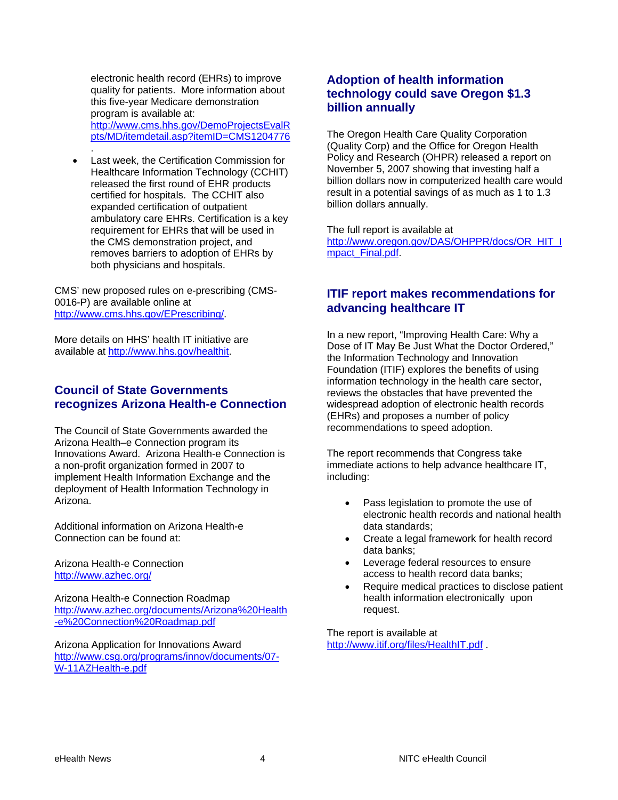electronic health record (EHRs) to improve quality for patients. More information about this five-year Medicare demonstration program is available at: [http://www.cms.hhs.gov/DemoProjectsEvalR](http://www.cms.hhs.gov/DemoProjectsEvalRpts/MD/itemdetail.asp?itemID=CMS1204776) [pts/MD/itemdetail.asp?itemID=CMS1204776](http://www.cms.hhs.gov/DemoProjectsEvalRpts/MD/itemdetail.asp?itemID=CMS1204776) .

Last week, the Certification Commission for Healthcare Information Technology (CCHIT) released the first round of EHR products certified for hospitals. The CCHIT also expanded certification of outpatient ambulatory care EHRs. Certification is a key requirement for EHRs that will be used in the CMS demonstration project, and removes barriers to adoption of EHRs by both physicians and hospitals.

CMS' new proposed rules on e-prescribing (CMS-0016-P) are available online at [http://www.cms.hhs.gov/EPrescribing/.](http://www.cms.hhs.gov/EPrescribing/)

More details on HHS' health IT initiative are available at [http://www.hhs.gov/healthit.](http://www.hhs.gov/healthit)

## **Council of State Governments recognizes Arizona Health-e Connection**

The Council of State Governments awarded the Arizona Health–e Connection program its Innovations Award. Arizona Health-e Connection is a non-profit organization formed in 2007 to implement Health Information Exchange and the deployment of Health Information Technology in Arizona.

Additional information on Arizona Health-e Connection can be found at:

Arizona Health-e Connection <http://www.azhec.org/>

Arizona Health-e Connection Roadmap [http://www.azhec.org/documents/Arizona%20Health](http://www.azhec.org/documents/Arizona%20Health-e%20Connection%20Roadmap.pdf) [-e%20Connection%20Roadmap.pdf](http://www.azhec.org/documents/Arizona%20Health-e%20Connection%20Roadmap.pdf)

Arizona Application for Innovations Award [http://www.csg.org/programs/innov/documents/07-](http://www.csg.org/programs/innov/documents/07-W-11AZHealth-e.pdf) [W-11AZHealth-e.pdf](http://www.csg.org/programs/innov/documents/07-W-11AZHealth-e.pdf)

## **Adoption of health information technology could save Oregon \$1.3 billion annually**

The Oregon Health Care Quality Corporation (Quality Corp) and the Office for Oregon Health Policy and Research (OHPR) released a report on November 5, 2007 showing that investing half a billion dollars now in computerized health care would result in a potential savings of as much as 1 to 1.3 billion dollars annually.

The full report is available at [http://www.oregon.gov/DAS/OHPPR/docs/OR\\_HIT\\_I](http://www.oregon.gov/DAS/OHPPR/docs/OR_HIT_Impact_Final.pdf) [mpact\\_Final.pdf](http://www.oregon.gov/DAS/OHPPR/docs/OR_HIT_Impact_Final.pdf).

## **ITIF report makes recommendations for advancing healthcare IT**

In a new report, "Improving Health Care: Why a Dose of IT May Be Just What the Doctor Ordered," the Information Technology and Innovation Foundation (ITIF) explores the benefits of using information technology in the health care sector, reviews the obstacles that have prevented the widespread adoption of electronic health records (EHRs) and proposes a number of policy recommendations to speed adoption.

The report recommends that Congress take immediate actions to help advance healthcare IT, including:

- Pass legislation to promote the use of electronic health records and national health data standards;
- Create a legal framework for health record data banks;
- Leverage federal resources to ensure access to health record data banks;
- Require medical practices to disclose patient health information electronically upon request.

The report is available at <http://www.itif.org/files/HealthIT.pdf>.